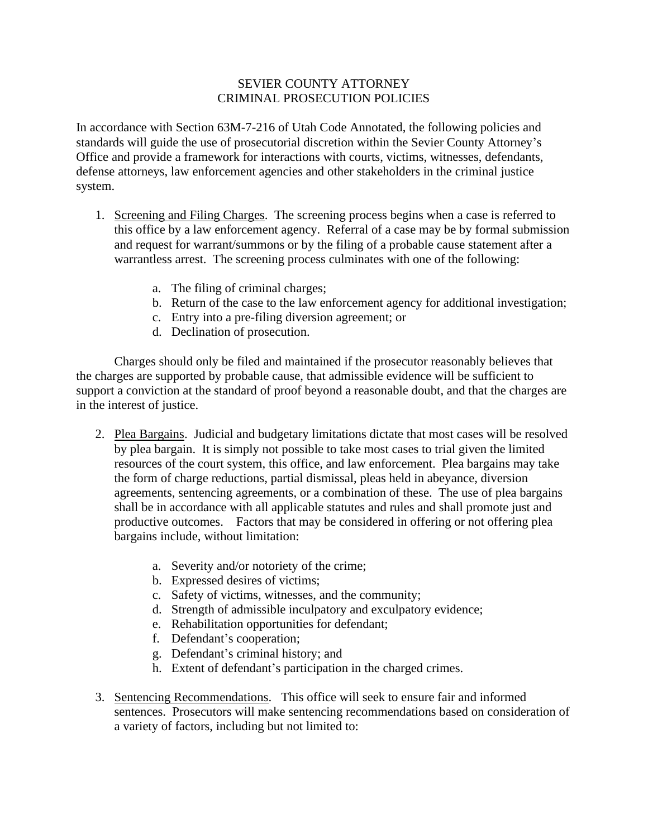## SEVIER COUNTY ATTORNEY CRIMINAL PROSECUTION POLICIES

In accordance with Section 63M-7-216 of Utah Code Annotated, the following policies and standards will guide the use of prosecutorial discretion within the Sevier County Attorney's Office and provide a framework for interactions with courts, victims, witnesses, defendants, defense attorneys, law enforcement agencies and other stakeholders in the criminal justice system.

- 1. Screening and Filing Charges. The screening process begins when a case is referred to this office by a law enforcement agency. Referral of a case may be by formal submission and request for warrant/summons or by the filing of a probable cause statement after a warrantless arrest. The screening process culminates with one of the following:
	- a. The filing of criminal charges;
	- b. Return of the case to the law enforcement agency for additional investigation;
	- c. Entry into a pre-filing diversion agreement; or
	- d. Declination of prosecution.

Charges should only be filed and maintained if the prosecutor reasonably believes that the charges are supported by probable cause, that admissible evidence will be sufficient to support a conviction at the standard of proof beyond a reasonable doubt, and that the charges are in the interest of justice.

- 2. Plea Bargains. Judicial and budgetary limitations dictate that most cases will be resolved by plea bargain. It is simply not possible to take most cases to trial given the limited resources of the court system, this office, and law enforcement. Plea bargains may take the form of charge reductions, partial dismissal, pleas held in abeyance, diversion agreements, sentencing agreements, or a combination of these. The use of plea bargains shall be in accordance with all applicable statutes and rules and shall promote just and productive outcomes. Factors that may be considered in offering or not offering plea bargains include, without limitation:
	- a. Severity and/or notoriety of the crime;
	- b. Expressed desires of victims;
	- c. Safety of victims, witnesses, and the community;
	- d. Strength of admissible inculpatory and exculpatory evidence;
	- e. Rehabilitation opportunities for defendant;
	- f. Defendant's cooperation;
	- g. Defendant's criminal history; and
	- h. Extent of defendant's participation in the charged crimes.
- 3. Sentencing Recommendations. This office will seek to ensure fair and informed sentences. Prosecutors will make sentencing recommendations based on consideration of a variety of factors, including but not limited to: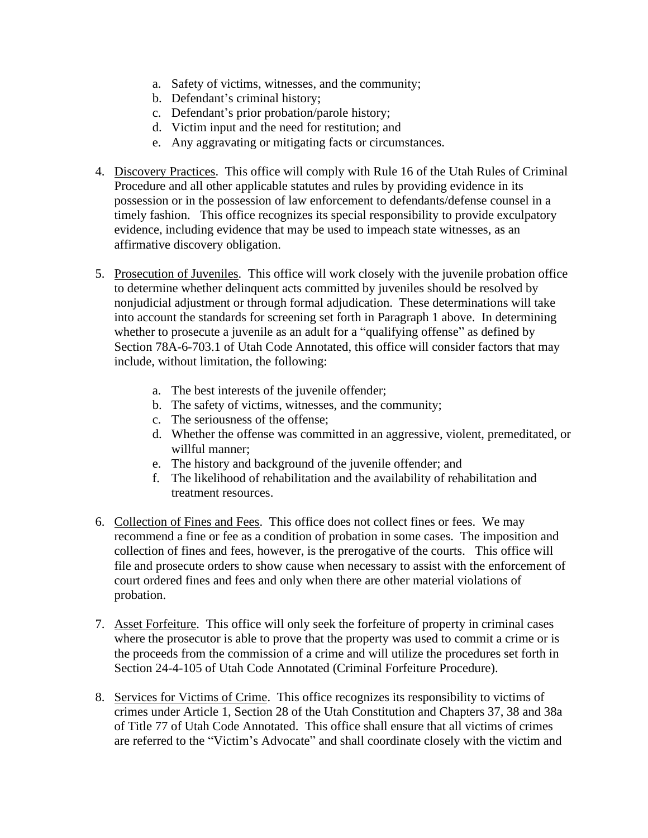- a. Safety of victims, witnesses, and the community;
- b. Defendant's criminal history;
- c. Defendant's prior probation/parole history;
- d. Victim input and the need for restitution; and
- e. Any aggravating or mitigating facts or circumstances.
- 4. Discovery Practices. This office will comply with Rule 16 of the Utah Rules of Criminal Procedure and all other applicable statutes and rules by providing evidence in its possession or in the possession of law enforcement to defendants/defense counsel in a timely fashion. This office recognizes its special responsibility to provide exculpatory evidence, including evidence that may be used to impeach state witnesses, as an affirmative discovery obligation.
- 5. Prosecution of Juveniles. This office will work closely with the juvenile probation office to determine whether delinquent acts committed by juveniles should be resolved by nonjudicial adjustment or through formal adjudication. These determinations will take into account the standards for screening set forth in Paragraph 1 above. In determining whether to prosecute a juvenile as an adult for a "qualifying offense" as defined by Section 78A-6-703.1 of Utah Code Annotated, this office will consider factors that may include, without limitation, the following:
	- a. The best interests of the juvenile offender;
	- b. The safety of victims, witnesses, and the community;
	- c. The seriousness of the offense;
	- d. Whether the offense was committed in an aggressive, violent, premeditated, or willful manner;
	- e. The history and background of the juvenile offender; and
	- f. The likelihood of rehabilitation and the availability of rehabilitation and treatment resources.
- 6. Collection of Fines and Fees. This office does not collect fines or fees. We may recommend a fine or fee as a condition of probation in some cases. The imposition and collection of fines and fees, however, is the prerogative of the courts. This office will file and prosecute orders to show cause when necessary to assist with the enforcement of court ordered fines and fees and only when there are other material violations of probation.
- 7. Asset Forfeiture. This office will only seek the forfeiture of property in criminal cases where the prosecutor is able to prove that the property was used to commit a crime or is the proceeds from the commission of a crime and will utilize the procedures set forth in Section 24-4-105 of Utah Code Annotated (Criminal Forfeiture Procedure).
- 8. Services for Victims of Crime. This office recognizes its responsibility to victims of crimes under Article 1, Section 28 of the Utah Constitution and Chapters 37, 38 and 38a of Title 77 of Utah Code Annotated. This office shall ensure that all victims of crimes are referred to the "Victim's Advocate" and shall coordinate closely with the victim and